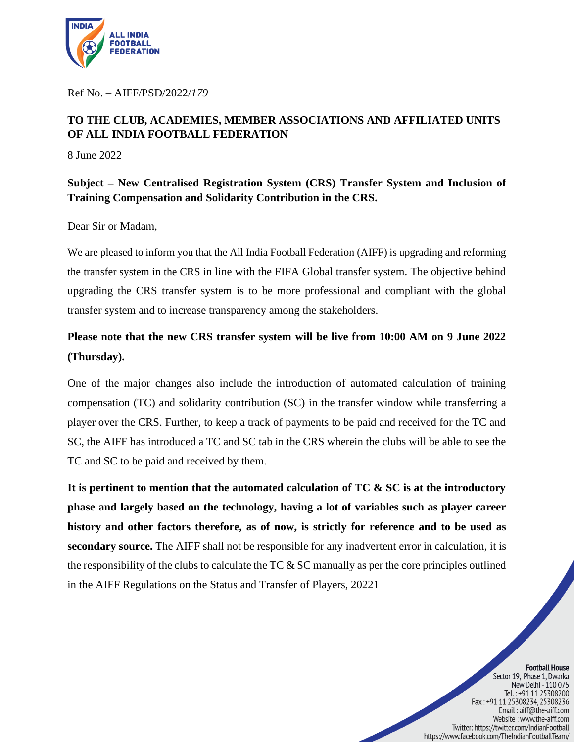

Ref No. – AIFF/PSD/2022/*179*

## **TO THE CLUB, ACADEMIES, MEMBER ASSOCIATIONS AND AFFILIATED UNITS OF ALL INDIA FOOTBALL FEDERATION**

8 June 2022

**Subject – New Centralised Registration System (CRS) Transfer System and Inclusion of Training Compensation and Solidarity Contribution in the CRS.**

Dear Sir or Madam,

We are pleased to inform you that the All India Football Federation (AIFF) is upgrading and reforming the transfer system in the CRS in line with the FIFA Global transfer system. The objective behind upgrading the CRS transfer system is to be more professional and compliant with the global transfer system and to increase transparency among the stakeholders.

## **Please note that the new CRS transfer system will be live from 10:00 AM on 9 June 2022 (Thursday).**

One of the major changes also include the introduction of automated calculation of training compensation (TC) and solidarity contribution (SC) in the transfer window while transferring a player over the CRS. Further, to keep a track of payments to be paid and received for the TC and SC, the AIFF has introduced a TC and SC tab in the CRS wherein the clubs will be able to see the TC and SC to be paid and received by them.

**It is pertinent to mention that the automated calculation of TC & SC is at the introductory phase and largely based on the technology, having a lot of variables such as player career history and other factors therefore, as of now, is strictly for reference and to be used as secondary source.** The AIFF shall not be responsible for any inadvertent error in calculation, it is the responsibility of the clubs to calculate the TC  $\&$  SC manually as per the core principles outlined in the AIFF Regulations on the Status and Transfer of Players, 20221

> **Football House** Sector 19, Phase 1, Dwarka New Delhi - 110 075 Tel.: +91 11 25308200<br>Fax: +91 11 25308234, 25308236 Email: aiff@the-aiff.com Website: www.the-aiff.com Twitter: https://twitter.com/IndianFootball https://www.facebook.com/TheIndianFootballTeam/